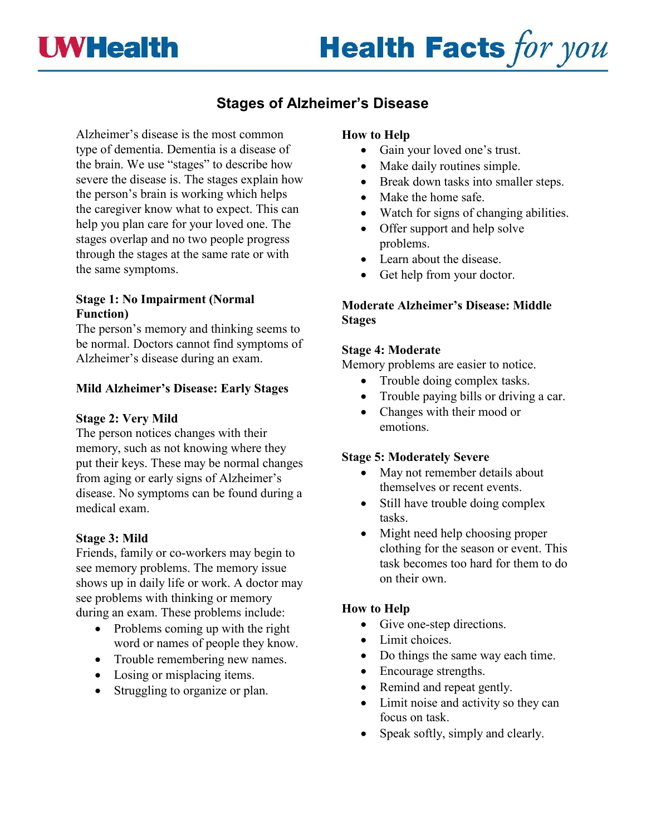

# **Health Facts for you**

# **Stages of Alzheimer's Disease**

Alzheimer's disease is the most common type of dementia. Dementia is a disease of the brain. We use "stages" to describe how severe the disease is. The stages explain how the person's brain is working which helps the caregiver know what to expect. This can help you plan care for your loved one. The stages overlap and no two people progress through the stages at the same rate or with the same symptoms.

#### **Stage 1: No Impairment (Normal Function)**

The person's memory and thinking seems to be normal. Doctors cannot find symptoms of Alzheimer's disease during an exam.

# **Mild Alzheimer's Disease: Early Stages**

#### **Stage 2: Very Mild**

The person notices changes with their memory, such as not knowing where they put their keys. These may be normal changes from aging or early signs of Alzheimer's disease. No symptoms can be found during a medical exam.

# **Stage 3: Mild**

Friends, family or co-workers may begin to see memory problems. The memory issue shows up in daily life or work. A doctor may see problems with thinking or memory during an exam. These problems include:

- Problems coming up with the right word or names of people they know.
- Trouble remembering new names.
- Losing or misplacing items.
- Struggling to organize or plan.

# **How to Help**

- Gain your loved one's trust.
- Make daily routines simple.
- Break down tasks into smaller steps.
- Make the home safe.
- Watch for signs of changing abilities.
- Offer support and help solve problems.
- Learn about the disease.
- Get help from your doctor.

# **Moderate Alzheimer's Disease: Middle Stages**

#### **Stage 4: Moderate**

Memory problems are easier to notice.

- Trouble doing complex tasks.
- Trouble paying bills or driving a car.
- Changes with their mood or emotions.

# **Stage 5: Moderately Severe**

- May not remember details about themselves or recent events.
- Still have trouble doing complex tasks.
- Might need help choosing proper clothing for the season or event. This task becomes too hard for them to do on their own.

# **How to Help**

- Give one-step directions.
- Limit choices.
- Do things the same way each time.
- Encourage strengths.
- Remind and repeat gently.
- Limit noise and activity so they can focus on task.
- Speak softly, simply and clearly.